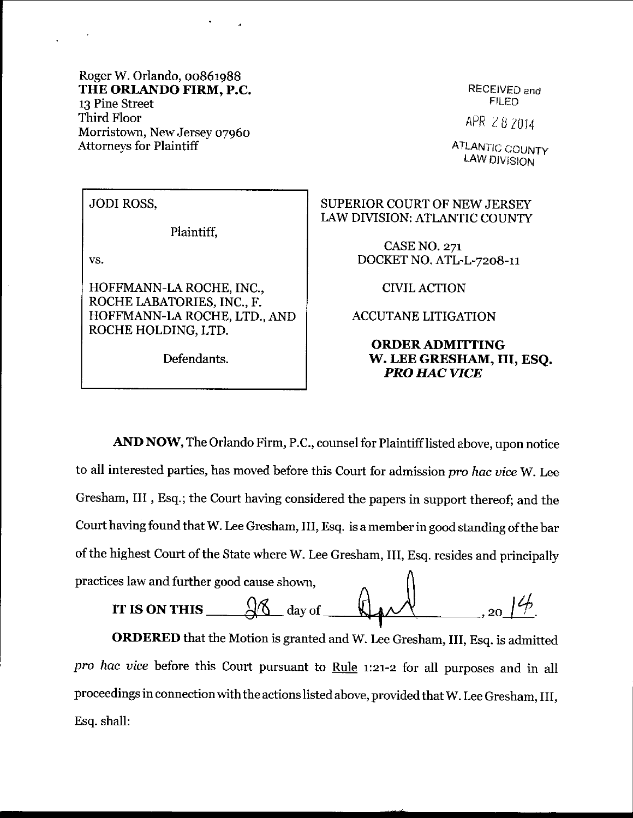Roger W. Orlando, 00861988 THE ORLANDO FIRM, P.C. 13 Pine Street Third Floor Morristown, New Jersey o796o Attorneys for Plaintiff

RECEiVED and FILEN

APR 282014

**ATLANTIC COUNTY** LAW DIVISION

JODI ROSS,

Plaintiff,

vs.

HOFFMANN-LA ROCHE, INC., ROCHE LABATORIES, INC., F. HOFFMANN-LA ROCHE, LTD., AND ROCHE HOLDING, LTD.

Defendants.

SUPERIOR COURT OF NEW JERSEY LAW DIVISION: ATLANTIC COUNTY

> CASE NO. 271 DOCKET NO. ATL-L-7208-11

> > CIVILACTION

ACCUTANE LITIGATION

## ORDER ADMITTING W. LEE GRESIIAM, III, ESQ. PRO HAC VICE

AND NOW, The Orlando Firm, P.C., counsel for Plaintiff listed above, upon notice to all interested parties, has moved before this Court for admission pro hac vice W. Lee Gresham, III , Bsq.; the Court having considered the papers in support thereof; and the Court having found that W. Lee Gresham, III, Esq. is a member in good standing of the bar of the highest court of the state where w. Lee Gresham, III, Esq. resides and principally practices law and further good cause shown.

IT IS ON THIS  $\frac{\sqrt{6}}{\sqrt{6}}$  day of

ORDERED that the Motion is granted and W. Lee Gresham, III, Esq. is admitted pro hac vice before this Court pursuant to Rule  $1:21-2$  for all purposes and in all proceedings in connection with the actions listed above, provided that W. Lee Gresham, III, Esq. shall: